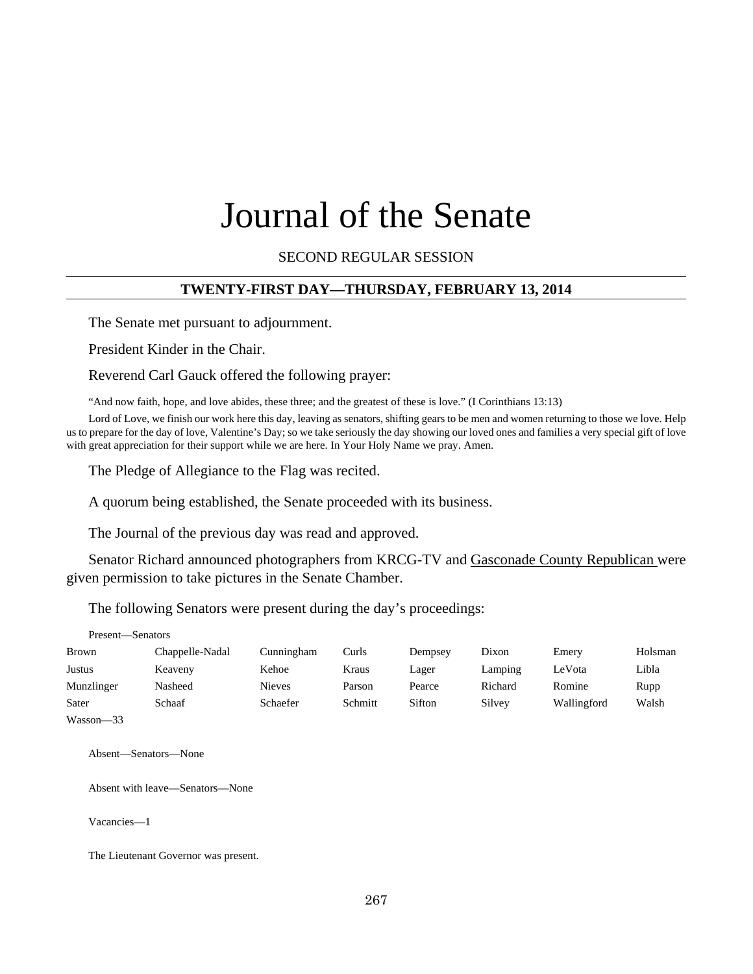# Journal of the Senate

SECOND REGULAR SESSION

#### **TWENTY-FIRST DAY—THURSDAY, FEBRUARY 13, 2014**

The Senate met pursuant to adjournment.

President Kinder in the Chair.

Reverend Carl Gauck offered the following prayer:

"And now faith, hope, and love abides, these three; and the greatest of these is love." (I Corinthians 13:13)

Lord of Love, we finish our work here this day, leaving as senators, shifting gears to be men and women returning to those we love. Help us to prepare for the day of love, Valentine's Day; so we take seriously the day showing our loved ones and families a very special gift of love with great appreciation for their support while we are here. In Your Holy Name we pray. Amen.

The Pledge of Allegiance to the Flag was recited.

A quorum being established, the Senate proceeded with its business.

The Journal of the previous day was read and approved.

Senator Richard announced photographers from KRCG-TV and Gasconade County Republican were given permission to take pictures in the Senate Chamber.

The following Senators were present during the day's proceedings:

Present—Senators

| Brown          | Chappelle-Nadal | Cunningham    | Curls   | Dempsey | Dixon   | Emery       | Holsman |
|----------------|-----------------|---------------|---------|---------|---------|-------------|---------|
| Justus         | Keaveny         | Kehoe         | Kraus   | Lager   | Lamping | LeVota      | Libla   |
| Munzlinger     | Nasheed         | <b>Nieves</b> | Parson  | Pearce  | Richard | Romine      | Rupp    |
| Sater          | Schaaf          | Schaefer      | Schmitt | Sifton  | Silvey  | Wallingford | Walsh   |
| $- - -$<br>- - |                 |               |         |         |         |             |         |

Wasson—33

Absent—Senators—None

Absent with leave—Senators—None

Vacancies—1

The Lieutenant Governor was present.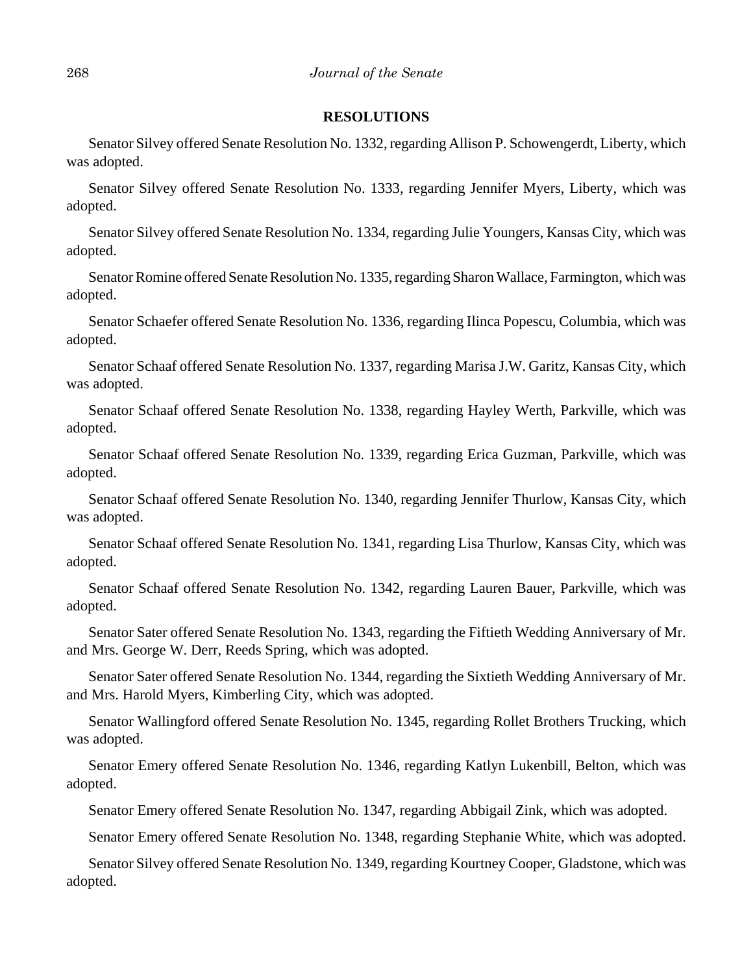#### **RESOLUTIONS**

Senator Silvey offered Senate Resolution No. 1332, regarding Allison P. Schowengerdt, Liberty, which was adopted.

Senator Silvey offered Senate Resolution No. 1333, regarding Jennifer Myers, Liberty, which was adopted.

Senator Silvey offered Senate Resolution No. 1334, regarding Julie Youngers, Kansas City, which was adopted.

Senator Romine offered Senate Resolution No. 1335, regarding Sharon Wallace, Farmington, which was adopted.

Senator Schaefer offered Senate Resolution No. 1336, regarding Ilinca Popescu, Columbia, which was adopted.

Senator Schaaf offered Senate Resolution No. 1337, regarding Marisa J.W. Garitz, Kansas City, which was adopted.

Senator Schaaf offered Senate Resolution No. 1338, regarding Hayley Werth, Parkville, which was adopted.

Senator Schaaf offered Senate Resolution No. 1339, regarding Erica Guzman, Parkville, which was adopted.

Senator Schaaf offered Senate Resolution No. 1340, regarding Jennifer Thurlow, Kansas City, which was adopted.

Senator Schaaf offered Senate Resolution No. 1341, regarding Lisa Thurlow, Kansas City, which was adopted.

Senator Schaaf offered Senate Resolution No. 1342, regarding Lauren Bauer, Parkville, which was adopted.

Senator Sater offered Senate Resolution No. 1343, regarding the Fiftieth Wedding Anniversary of Mr. and Mrs. George W. Derr, Reeds Spring, which was adopted.

Senator Sater offered Senate Resolution No. 1344, regarding the Sixtieth Wedding Anniversary of Mr. and Mrs. Harold Myers, Kimberling City, which was adopted.

Senator Wallingford offered Senate Resolution No. 1345, regarding Rollet Brothers Trucking, which was adopted.

Senator Emery offered Senate Resolution No. 1346, regarding Katlyn Lukenbill, Belton, which was adopted.

Senator Emery offered Senate Resolution No. 1347, regarding Abbigail Zink, which was adopted.

Senator Emery offered Senate Resolution No. 1348, regarding Stephanie White, which was adopted.

Senator Silvey offered Senate Resolution No. 1349, regarding Kourtney Cooper, Gladstone, which was adopted.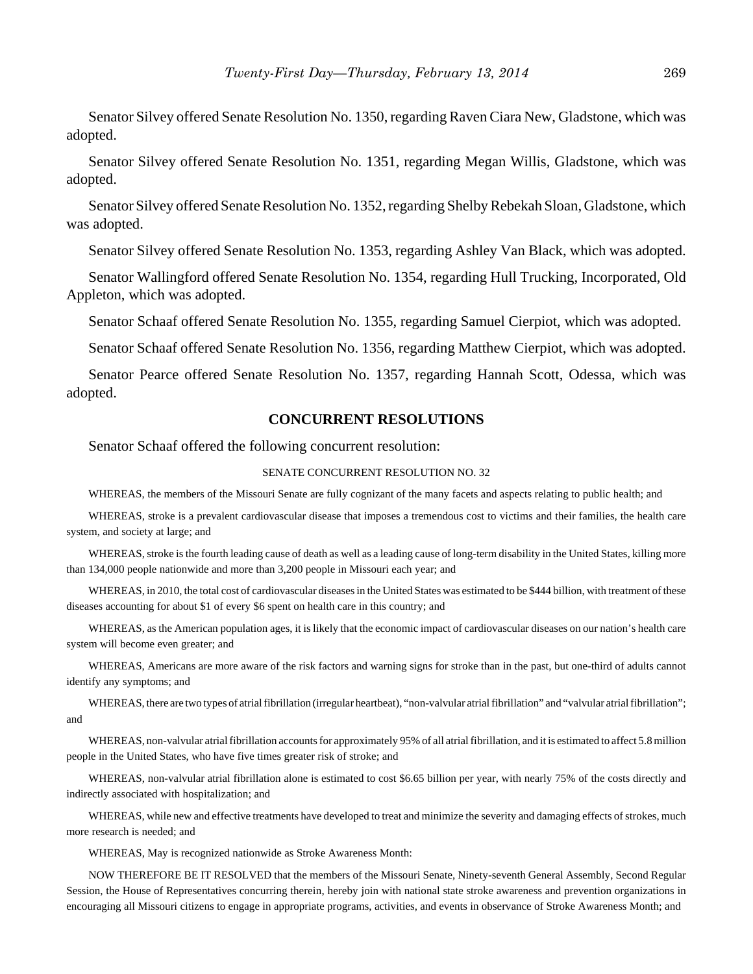Senator Silvey offered Senate Resolution No. 1350, regarding Raven Ciara New, Gladstone, which was adopted.

Senator Silvey offered Senate Resolution No. 1351, regarding Megan Willis, Gladstone, which was adopted.

Senator Silvey offered Senate Resolution No. 1352, regarding Shelby Rebekah Sloan, Gladstone, which was adopted.

Senator Silvey offered Senate Resolution No. 1353, regarding Ashley Van Black, which was adopted.

Senator Wallingford offered Senate Resolution No. 1354, regarding Hull Trucking, Incorporated, Old Appleton, which was adopted.

Senator Schaaf offered Senate Resolution No. 1355, regarding Samuel Cierpiot, which was adopted.

Senator Schaaf offered Senate Resolution No. 1356, regarding Matthew Cierpiot, which was adopted.

Senator Pearce offered Senate Resolution No. 1357, regarding Hannah Scott, Odessa, which was adopted.

#### **CONCURRENT RESOLUTIONS**

Senator Schaaf offered the following concurrent resolution:

#### SENATE CONCURRENT RESOLUTION NO. 32

WHEREAS, the members of the Missouri Senate are fully cognizant of the many facets and aspects relating to public health; and

WHEREAS, stroke is a prevalent cardiovascular disease that imposes a tremendous cost to victims and their families, the health care system, and society at large; and

WHEREAS, stroke is the fourth leading cause of death as well as a leading cause of long-term disability in the United States, killing more than 134,000 people nationwide and more than 3,200 people in Missouri each year; and

WHEREAS, in 2010, the total cost of cardiovascular diseases in the United States was estimated to be \$444 billion, with treatment of these diseases accounting for about \$1 of every \$6 spent on health care in this country; and

WHEREAS, as the American population ages, it is likely that the economic impact of cardiovascular diseases on our nation's health care system will become even greater; and

WHEREAS, Americans are more aware of the risk factors and warning signs for stroke than in the past, but one-third of adults cannot identify any symptoms; and

WHEREAS, there are two types of atrial fibrillation (irregular heartbeat), "non-valvular atrial fibrillation" and "valvular atrial fibrillation"; and

WHEREAS, non-valvular atrial fibrillation accounts for approximately 95% of all atrial fibrillation, and it is estimated to affect 5.8 million people in the United States, who have five times greater risk of stroke; and

WHEREAS, non-valvular atrial fibrillation alone is estimated to cost \$6.65 billion per year, with nearly 75% of the costs directly and indirectly associated with hospitalization; and

WHEREAS, while new and effective treatments have developed to treat and minimize the severity and damaging effects of strokes, much more research is needed; and

WHEREAS, May is recognized nationwide as Stroke Awareness Month:

NOW THEREFORE BE IT RESOLVED that the members of the Missouri Senate, Ninety-seventh General Assembly, Second Regular Session, the House of Representatives concurring therein, hereby join with national state stroke awareness and prevention organizations in encouraging all Missouri citizens to engage in appropriate programs, activities, and events in observance of Stroke Awareness Month; and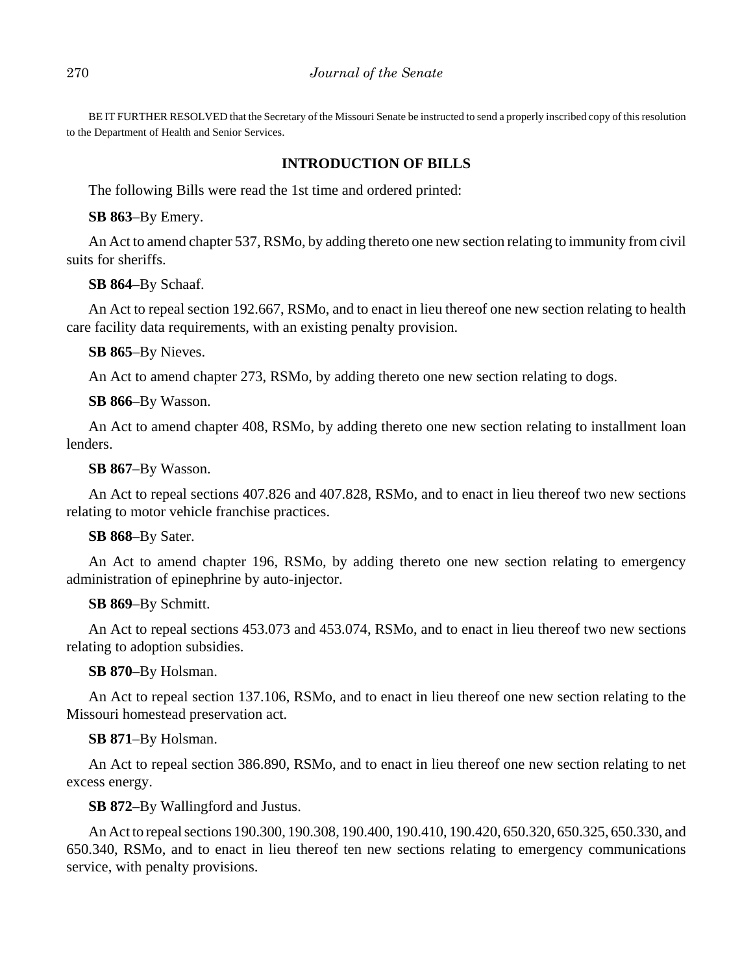BE IT FURTHER RESOLVED that the Secretary of the Missouri Senate be instructed to send a properly inscribed copy of this resolution to the Department of Health and Senior Services.

#### **INTRODUCTION OF BILLS**

The following Bills were read the 1st time and ordered printed:

**SB 863**–By Emery.

An Act to amend chapter 537, RSMo, by adding thereto one new section relating to immunity from civil suits for sheriffs.

**SB 864**–By Schaaf.

An Act to repeal section 192.667, RSMo, and to enact in lieu thereof one new section relating to health care facility data requirements, with an existing penalty provision.

#### **SB 865**–By Nieves.

An Act to amend chapter 273, RSMo, by adding thereto one new section relating to dogs.

#### **SB 866**–By Wasson.

An Act to amend chapter 408, RSMo, by adding thereto one new section relating to installment loan lenders.

#### **SB 867**–By Wasson.

An Act to repeal sections 407.826 and 407.828, RSMo, and to enact in lieu thereof two new sections relating to motor vehicle franchise practices.

#### **SB 868**–By Sater.

An Act to amend chapter 196, RSMo, by adding thereto one new section relating to emergency administration of epinephrine by auto-injector.

#### **SB 869**–By Schmitt.

An Act to repeal sections 453.073 and 453.074, RSMo, and to enact in lieu thereof two new sections relating to adoption subsidies.

#### **SB 870**–By Holsman.

An Act to repeal section 137.106, RSMo, and to enact in lieu thereof one new section relating to the Missouri homestead preservation act.

#### **SB 871**–By Holsman.

An Act to repeal section 386.890, RSMo, and to enact in lieu thereof one new section relating to net excess energy.

### **SB 872**–By Wallingford and Justus.

An Act to repeal sections 190.300, 190.308, 190.400, 190.410, 190.420, 650.320, 650.325, 650.330, and 650.340, RSMo, and to enact in lieu thereof ten new sections relating to emergency communications service, with penalty provisions.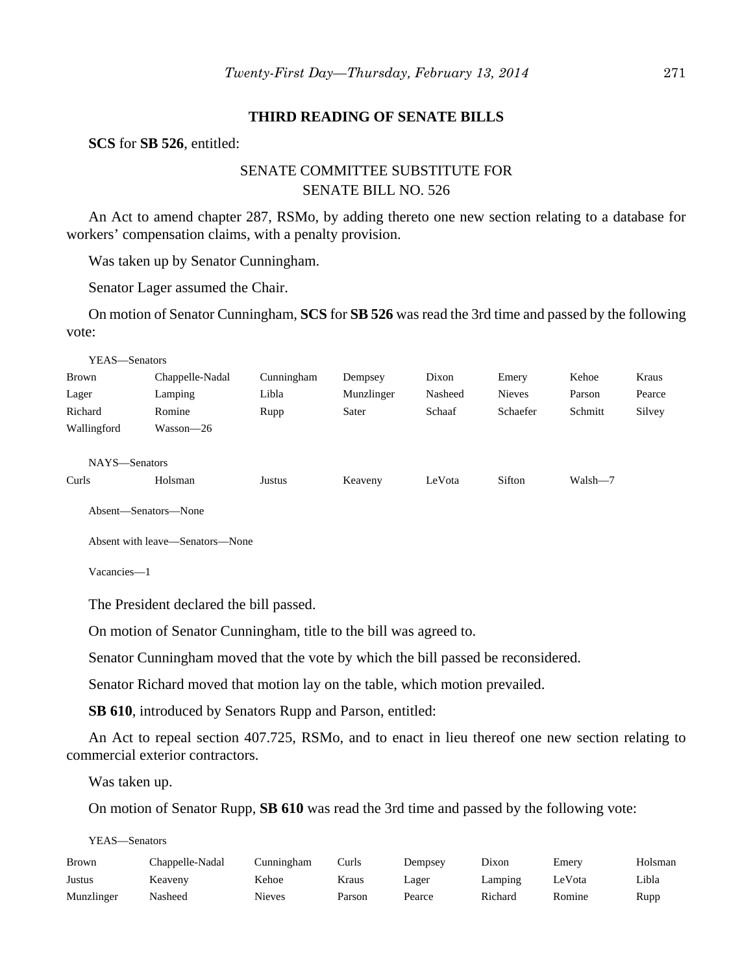#### **THIRD READING OF SENATE BILLS**

**SCS** for **SB 526**, entitled:

# SENATE COMMITTEE SUBSTITUTE FOR SENATE BILL NO. 526

An Act to amend chapter 287, RSMo, by adding thereto one new section relating to a database for workers' compensation claims, with a penalty provision.

Was taken up by Senator Cunningham.

Senator Lager assumed the Chair.

On motion of Senator Cunningham, **SCS** for **SB 526** was read the 3rd time and passed by the following vote:

| YEAS-Senators |                 |            |            |         |               |         |        |
|---------------|-----------------|------------|------------|---------|---------------|---------|--------|
| Brown         | Chappelle-Nadal | Cunningham | Dempsey    | Dixon   | Emery         | Kehoe   | Kraus  |
| Lager         | Lamping         | Libla      | Munzlinger | Nasheed | <b>Nieves</b> | Parson  | Pearce |
| Richard       | Romine          | Rupp       | Sater      | Schaaf  | Schaefer      | Schmitt | Silvey |
| Wallingford   | Wasson—26       |            |            |         |               |         |        |
|               |                 |            |            |         |               |         |        |
| NAYS-Senators |                 |            |            |         |               |         |        |
| Curls         | Holsman         | Justus     | Keaveny    | LeVota  | Sifton        | Walsh-7 |        |
|               |                 |            |            |         |               |         |        |

Absent—Senators—None

Absent with leave—Senators—None

Vacancies—1

The President declared the bill passed.

On motion of Senator Cunningham, title to the bill was agreed to.

Senator Cunningham moved that the vote by which the bill passed be reconsidered.

Senator Richard moved that motion lay on the table, which motion prevailed.

**SB 610**, introduced by Senators Rupp and Parson, entitled:

An Act to repeal section 407.725, RSMo, and to enact in lieu thereof one new section relating to commercial exterior contractors.

Was taken up.

On motion of Senator Rupp, **SB 610** was read the 3rd time and passed by the following vote:

YEAS—Senators

| Brown      | Chappelle-Nadal | Cunningham | Curls: | Dempsey | Dixon   | Emery  | Holsman |
|------------|-----------------|------------|--------|---------|---------|--------|---------|
| Justus     | Keaveny         | Kehoe      | Kraus  | Lager   | Lamping | LeVota | Libla   |
| Munzlinger | Nasheed         | Nieves     | Parson | Pearce  | Richard | Romine | Rupp    |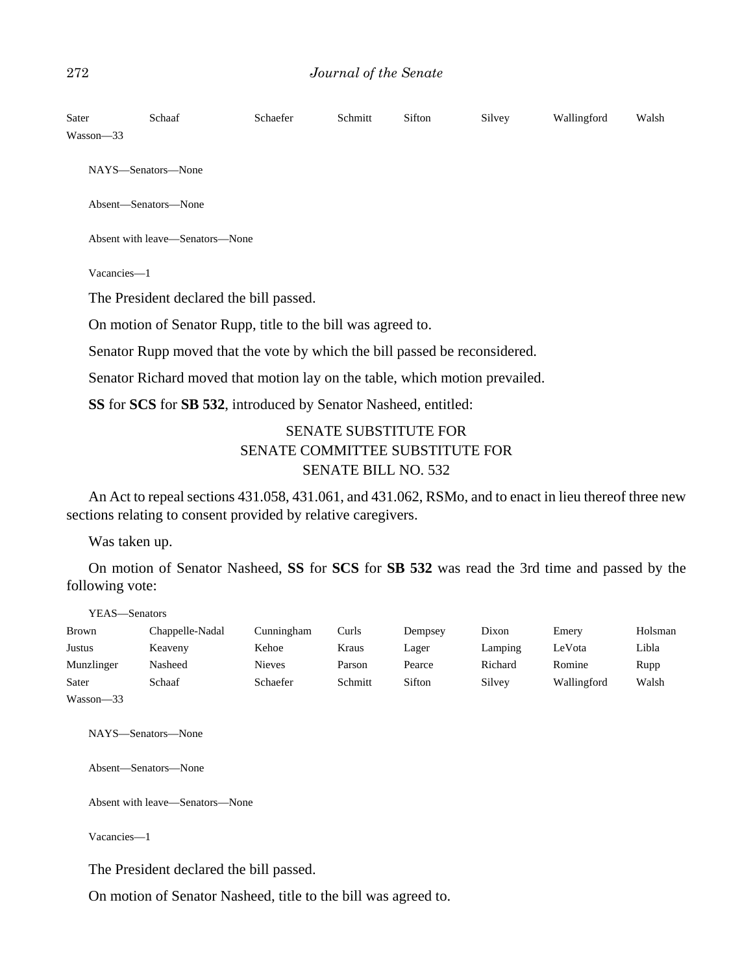| Sater     | Schaaf                                                                      | Schaefer | Schmitt | Sifton | Silvey | Wallingford | Walsh |
|-----------|-----------------------------------------------------------------------------|----------|---------|--------|--------|-------------|-------|
| Wasson-33 |                                                                             |          |         |        |        |             |       |
|           | NAYS—Senators—None                                                          |          |         |        |        |             |       |
|           | Absent-Senators-None                                                        |          |         |        |        |             |       |
|           | Absent with leave—Senators—None                                             |          |         |        |        |             |       |
|           | Vacancies-1                                                                 |          |         |        |        |             |       |
|           | The President declared the bill passed.                                     |          |         |        |        |             |       |
|           | On motion of Senator Rupp, title to the bill was agreed to.                 |          |         |        |        |             |       |
|           | Senator Rupp moved that the vote by which the bill passed be reconsidered.  |          |         |        |        |             |       |
|           | Senator Richard moved that motion lay on the table, which motion prevailed. |          |         |        |        |             |       |
|           |                                                                             |          |         |        |        |             |       |

**SS** for **SCS** for **SB 532**, introduced by Senator Nasheed, entitled:

# SENATE SUBSTITUTE FOR SENATE COMMITTEE SUBSTITUTE FOR SENATE BILL NO. 532

An Act to repeal sections 431.058, 431.061, and 431.062, RSMo, and to enact in lieu thereof three new sections relating to consent provided by relative caregivers.

Was taken up.

On motion of Senator Nasheed, **SS** for **SCS** for **SB 532** was read the 3rd time and passed by the following vote:

YEAS—Senators

| <b>Brown</b> | Chappelle-Nadal | Cunningham | Curls   | Dempsey | Dixon   | Emery       | Holsman |
|--------------|-----------------|------------|---------|---------|---------|-------------|---------|
| Justus       | Keaveny         | Kehoe      | Kraus   | Lager   | Lamping | LeVota      | Libla   |
| Munzlinger   | Nasheed         | Nieves     | Parson  | Pearce  | Richard | Romine      | Rupp    |
| Sater        | Schaaf          | Schaefer   | Schmitt | Sifton  | Silvey  | Wallingford | Walsh   |
| Wasson-33    |                 |            |         |         |         |             |         |

NAYS—Senators—None

Absent—Senators—None

Absent with leave—Senators—None

Vacancies—1

The President declared the bill passed.

On motion of Senator Nasheed, title to the bill was agreed to.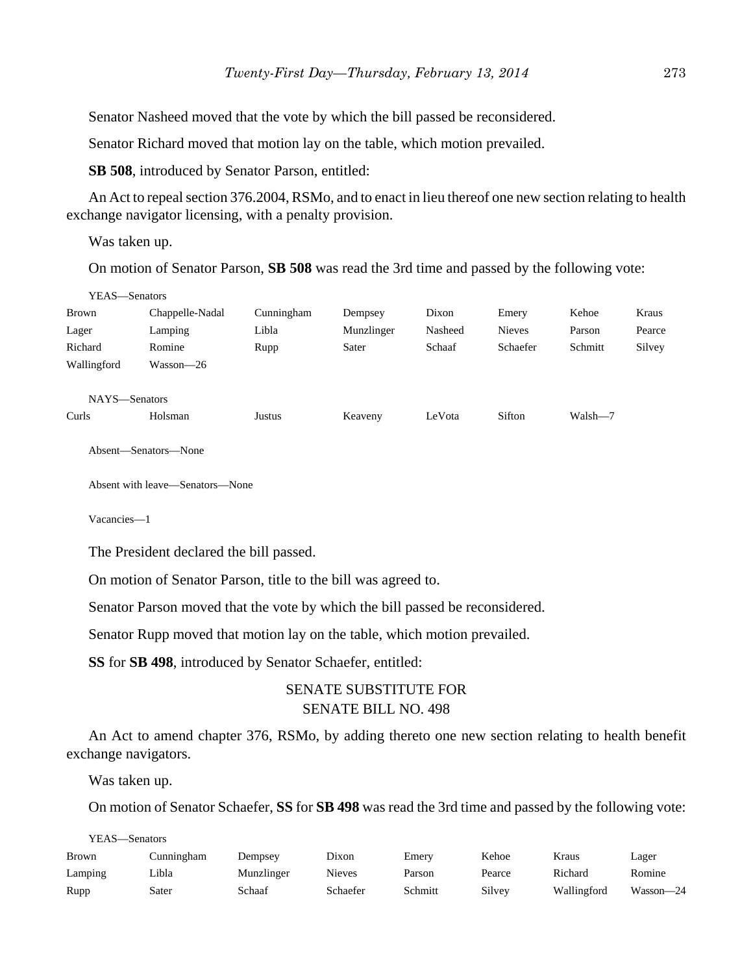Senator Nasheed moved that the vote by which the bill passed be reconsidered.

Senator Richard moved that motion lay on the table, which motion prevailed.

**SB 508**, introduced by Senator Parson, entitled:

An Act to repeal section 376.2004, RSMo, and to enact in lieu thereof one new section relating to health exchange navigator licensing, with a penalty provision.

Was taken up.

On motion of Senator Parson, **SB 508** was read the 3rd time and passed by the following vote:

| YEAS—Senators |                 |            |            |         |               |         |        |
|---------------|-----------------|------------|------------|---------|---------------|---------|--------|
| <b>Brown</b>  | Chappelle-Nadal | Cunningham | Dempsey    | Dixon   | Emery         | Kehoe   | Kraus  |
| Lager         | Lamping         | Libla      | Munzlinger | Nasheed | <b>Nieves</b> | Parson  | Pearce |
| Richard       | Romine          | Rupp       | Sater      | Schaaf  | Schaefer      | Schmitt | Silvey |
| Wallingford   | Wasson—26       |            |            |         |               |         |        |
|               |                 |            |            |         |               |         |        |
| NAYS-Senators |                 |            |            |         |               |         |        |
| Curls         | Holsman         | Justus     | Keaveny    | LeVota  | Sifton        | Walsh-7 |        |

Absent—Senators—None

Absent with leave—Senators—None

Vacancies—1

The President declared the bill passed.

On motion of Senator Parson, title to the bill was agreed to.

Senator Parson moved that the vote by which the bill passed be reconsidered.

Senator Rupp moved that motion lay on the table, which motion prevailed.

**SS** for **SB 498**, introduced by Senator Schaefer, entitled:

## SENATE SUBSTITUTE FOR SENATE BILL NO. 498

An Act to amend chapter 376, RSMo, by adding thereto one new section relating to health benefit exchange navigators.

Was taken up.

On motion of Senator Schaefer, **SS** for **SB 498** was read the 3rd time and passed by the following vote:

| YEAS—Senators |            |            |          |         |        |             |           |  |
|---------------|------------|------------|----------|---------|--------|-------------|-----------|--|
| <b>Brown</b>  | Cunningham | Dempsey    | Dixon    | Emery   | Kehoe  | Kraus       | Lager     |  |
| Lamping       | ∟ibla      | Munzlinger | Nieves   | Parson  | Pearce | Richard     | Romine    |  |
| Rupp          | Sater      | Schaaf     | Schaefer | Schmitt | Silvey | Wallingford | Wasson-24 |  |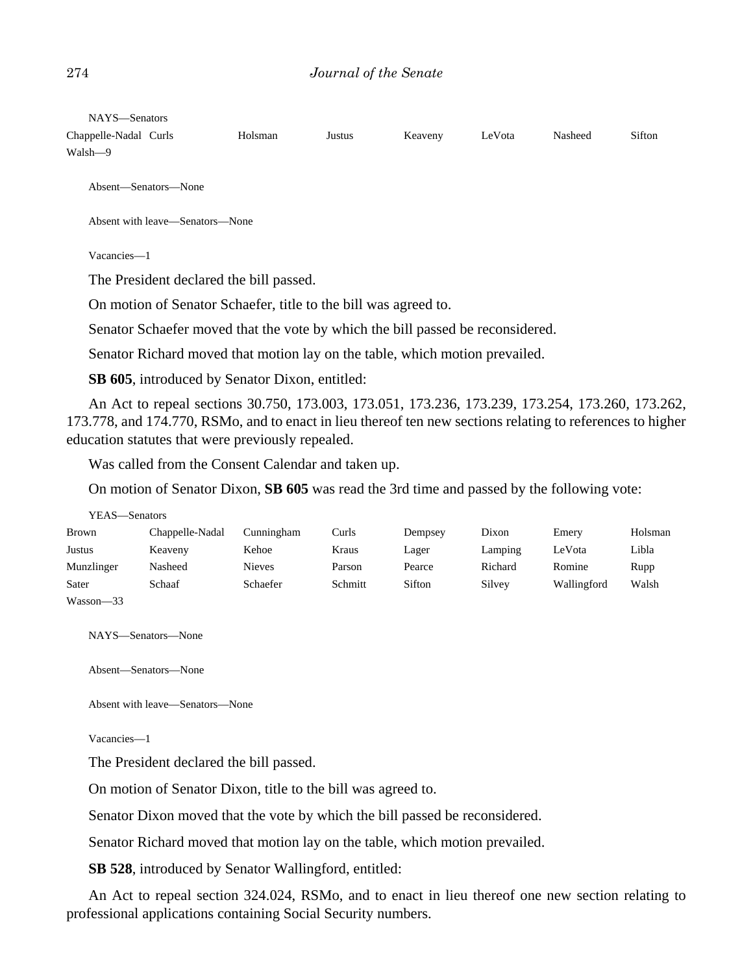NAYS—Senators

| Chappelle-Nadal Curls | Holsman | Justus | Keaveny | LeVota | Nasheed | Sifton |
|-----------------------|---------|--------|---------|--------|---------|--------|
| Walsh—9               |         |        |         |        |         |        |

Absent—Senators—None

Absent with leave—Senators—None

Vacancies—1

The President declared the bill passed.

On motion of Senator Schaefer, title to the bill was agreed to.

Senator Schaefer moved that the vote by which the bill passed be reconsidered.

Senator Richard moved that motion lay on the table, which motion prevailed.

**SB 605**, introduced by Senator Dixon, entitled:

An Act to repeal sections 30.750, 173.003, 173.051, 173.236, 173.239, 173.254, 173.260, 173.262, 173.778, and 174.770, RSMo, and to enact in lieu thereof ten new sections relating to references to higher education statutes that were previously repealed.

Was called from the Consent Calendar and taken up.

On motion of Senator Dixon, **SB 605** was read the 3rd time and passed by the following vote:

| YEAS—Senators |                 |            |         |         |         |             |         |
|---------------|-----------------|------------|---------|---------|---------|-------------|---------|
| <b>Brown</b>  | Chappelle-Nadal | Cunningham | Curls   | Dempsey | Dixon   | Emery       | Holsman |
| Justus        | Keaveny         | Kehoe      | Kraus   | Lager   | Lamping | LeVota      | Libla   |
| Munzlinger    | Nasheed         | Nieves     | Parson  | Pearce  | Richard | Romine      | Rupp    |
| Sater         | Schaaf          | Schaefer   | Schmitt | Sifton  | Silvey  | Wallingford | Walsh   |
| Wasson-33     |                 |            |         |         |         |             |         |

NAYS—Senators—None

Absent—Senators—None

Absent with leave—Senators—None

Vacancies—1

The President declared the bill passed.

On motion of Senator Dixon, title to the bill was agreed to.

Senator Dixon moved that the vote by which the bill passed be reconsidered.

Senator Richard moved that motion lay on the table, which motion prevailed.

**SB 528**, introduced by Senator Wallingford, entitled:

An Act to repeal section 324.024, RSMo, and to enact in lieu thereof one new section relating to professional applications containing Social Security numbers.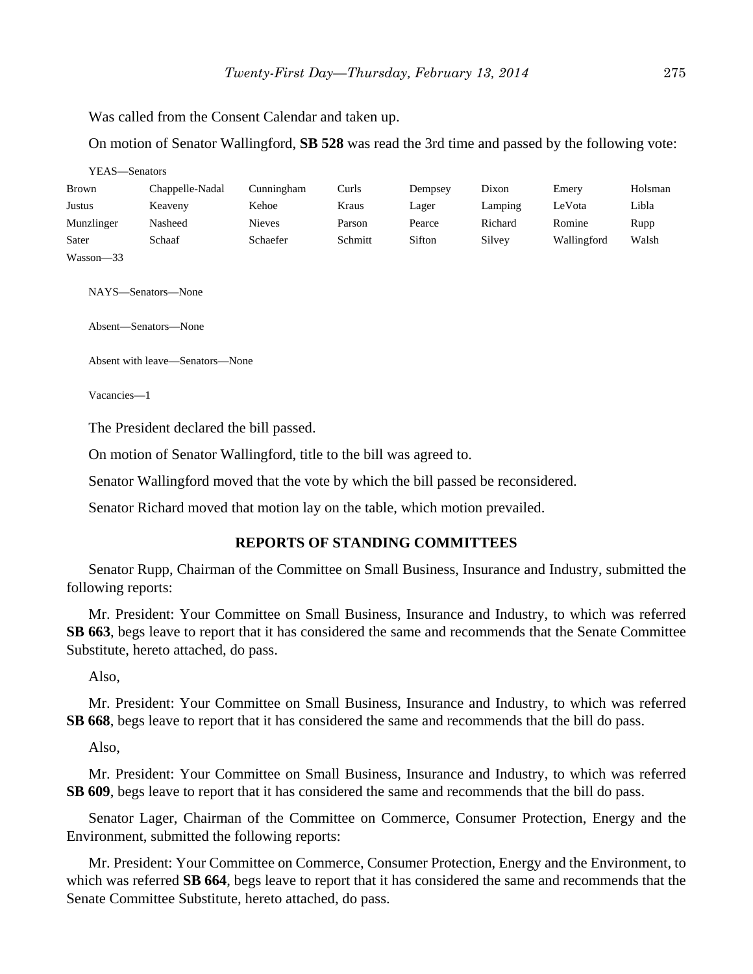Was called from the Consent Calendar and taken up.

On motion of Senator Wallingford, **SB 528** was read the 3rd time and passed by the following vote:

| YEAS—Senators |                 |               |         |         |         |             |         |
|---------------|-----------------|---------------|---------|---------|---------|-------------|---------|
| <b>Brown</b>  | Chappelle-Nadal | Cunningham    | Curls   | Dempsey | Dixon   | Emery       | Holsman |
| Justus        | Keaveny         | Kehoe         | Kraus   | Lager   | Lamping | LeVota      | Libla   |
| Munzlinger    | Nasheed         | <b>Nieves</b> | Parson  | Pearce  | Richard | Romine      | Rupp    |
| Sater         | Schaaf          | Schaefer      | Schmitt | Sifton  | Silvey  | Wallingford | Walsh   |
| Wasson-33     |                 |               |         |         |         |             |         |

NAYS—Senators—None

Absent—Senators—None

Absent with leave—Senators—None

Vacancies—1

The President declared the bill passed.

On motion of Senator Wallingford, title to the bill was agreed to.

Senator Wallingford moved that the vote by which the bill passed be reconsidered.

Senator Richard moved that motion lay on the table, which motion prevailed.

#### **REPORTS OF STANDING COMMITTEES**

Senator Rupp, Chairman of the Committee on Small Business, Insurance and Industry, submitted the following reports:

Mr. President: Your Committee on Small Business, Insurance and Industry, to which was referred **SB 663**, begs leave to report that it has considered the same and recommends that the Senate Committee Substitute, hereto attached, do pass.

Also,

Mr. President: Your Committee on Small Business, Insurance and Industry, to which was referred **SB 668**, begs leave to report that it has considered the same and recommends that the bill do pass.

Also,

Mr. President: Your Committee on Small Business, Insurance and Industry, to which was referred **SB 609**, begs leave to report that it has considered the same and recommends that the bill do pass.

Senator Lager, Chairman of the Committee on Commerce, Consumer Protection, Energy and the Environment, submitted the following reports:

Mr. President: Your Committee on Commerce, Consumer Protection, Energy and the Environment, to which was referred **SB 664**, begs leave to report that it has considered the same and recommends that the Senate Committee Substitute, hereto attached, do pass.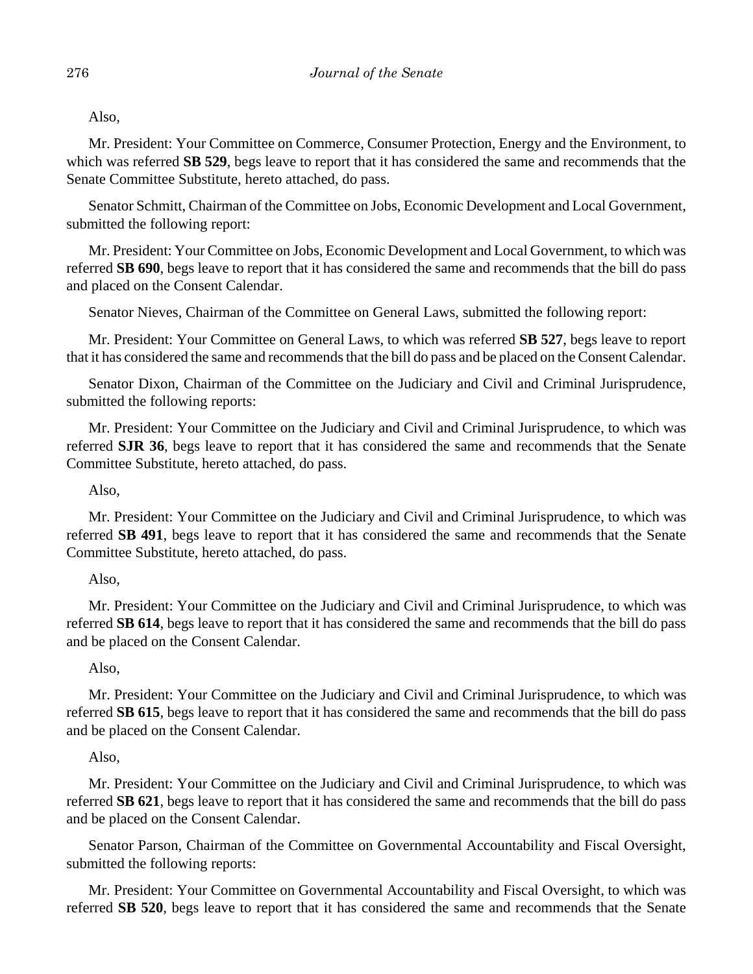Also,

Mr. President: Your Committee on Commerce, Consumer Protection, Energy and the Environment, to which was referred **SB 529**, begs leave to report that it has considered the same and recommends that the Senate Committee Substitute, hereto attached, do pass.

Senator Schmitt, Chairman of the Committee on Jobs, Economic Development and Local Government, submitted the following report:

Mr. President: Your Committee on Jobs, Economic Development and Local Government, to which was referred **SB 690**, begs leave to report that it has considered the same and recommends that the bill do pass and placed on the Consent Calendar.

Senator Nieves, Chairman of the Committee on General Laws, submitted the following report:

Mr. President: Your Committee on General Laws, to which was referred **SB 527**, begs leave to report that it has considered the same and recommends that the bill do pass and be placed on the Consent Calendar.

Senator Dixon, Chairman of the Committee on the Judiciary and Civil and Criminal Jurisprudence, submitted the following reports:

Mr. President: Your Committee on the Judiciary and Civil and Criminal Jurisprudence, to which was referred **SJR 36**, begs leave to report that it has considered the same and recommends that the Senate Committee Substitute, hereto attached, do pass.

Also,

Mr. President: Your Committee on the Judiciary and Civil and Criminal Jurisprudence, to which was referred **SB 491**, begs leave to report that it has considered the same and recommends that the Senate Committee Substitute, hereto attached, do pass.

#### Also,

Mr. President: Your Committee on the Judiciary and Civil and Criminal Jurisprudence, to which was referred **SB 614**, begs leave to report that it has considered the same and recommends that the bill do pass and be placed on the Consent Calendar.

#### Also,

Mr. President: Your Committee on the Judiciary and Civil and Criminal Jurisprudence, to which was referred **SB 615**, begs leave to report that it has considered the same and recommends that the bill do pass and be placed on the Consent Calendar.

#### Also,

Mr. President: Your Committee on the Judiciary and Civil and Criminal Jurisprudence, to which was referred **SB 621**, begs leave to report that it has considered the same and recommends that the bill do pass and be placed on the Consent Calendar.

Senator Parson, Chairman of the Committee on Governmental Accountability and Fiscal Oversight, submitted the following reports:

Mr. President: Your Committee on Governmental Accountability and Fiscal Oversight, to which was referred **SB 520**, begs leave to report that it has considered the same and recommends that the Senate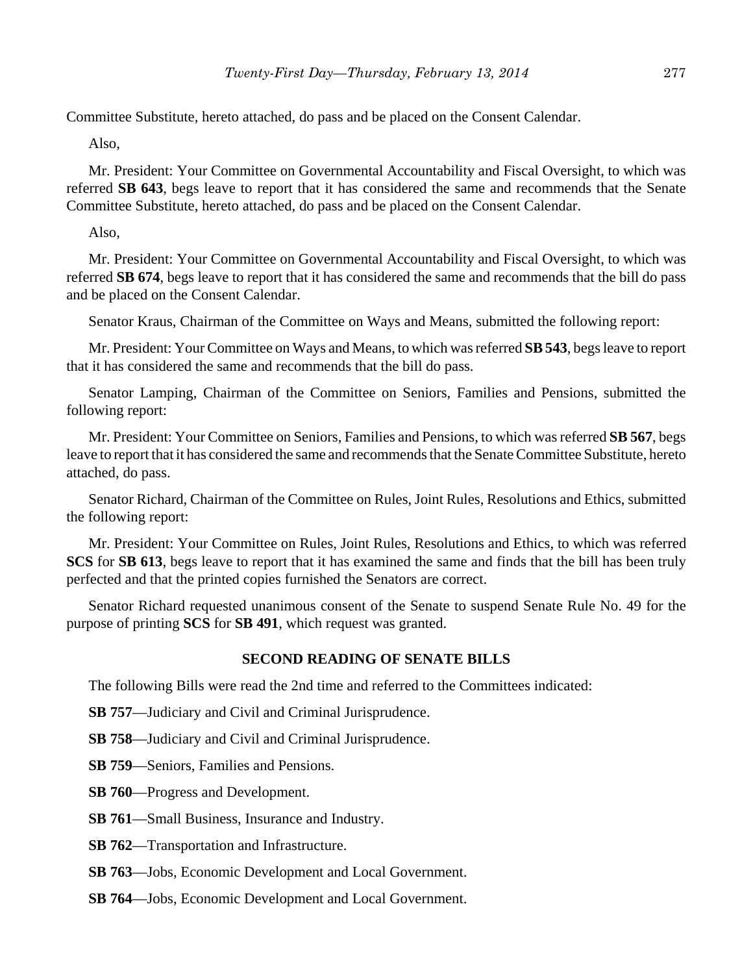Committee Substitute, hereto attached, do pass and be placed on the Consent Calendar.

Also,

Mr. President: Your Committee on Governmental Accountability and Fiscal Oversight, to which was referred **SB 643**, begs leave to report that it has considered the same and recommends that the Senate Committee Substitute, hereto attached, do pass and be placed on the Consent Calendar.

Also,

Mr. President: Your Committee on Governmental Accountability and Fiscal Oversight, to which was referred **SB 674**, begs leave to report that it has considered the same and recommends that the bill do pass and be placed on the Consent Calendar.

Senator Kraus, Chairman of the Committee on Ways and Means, submitted the following report:

Mr. President: Your Committee on Ways and Means, to which was referred **SB 543**, begs leave to report that it has considered the same and recommends that the bill do pass.

Senator Lamping, Chairman of the Committee on Seniors, Families and Pensions, submitted the following report:

Mr. President: Your Committee on Seniors, Families and Pensions, to which was referred **SB 567**, begs leave to report that it has considered the same and recommends that the Senate Committee Substitute, hereto attached, do pass.

Senator Richard, Chairman of the Committee on Rules, Joint Rules, Resolutions and Ethics, submitted the following report:

Mr. President: Your Committee on Rules, Joint Rules, Resolutions and Ethics, to which was referred **SCS** for **SB 613**, begs leave to report that it has examined the same and finds that the bill has been truly perfected and that the printed copies furnished the Senators are correct.

Senator Richard requested unanimous consent of the Senate to suspend Senate Rule No. 49 for the purpose of printing **SCS** for **SB 491**, which request was granted.

#### **SECOND READING OF SENATE BILLS**

The following Bills were read the 2nd time and referred to the Committees indicated:

**SB 757**—Judiciary and Civil and Criminal Jurisprudence.

**SB 758**––Judiciary and Civil and Criminal Jurisprudence.

**SB 759**—Seniors, Families and Pensions.

**SB 760**––Progress and Development.

- **SB 761**––Small Business, Insurance and Industry.
- **SB 762**––Transportation and Infrastructure.
- **SB 763**––Jobs, Economic Development and Local Government.
- **SB 764**––Jobs, Economic Development and Local Government.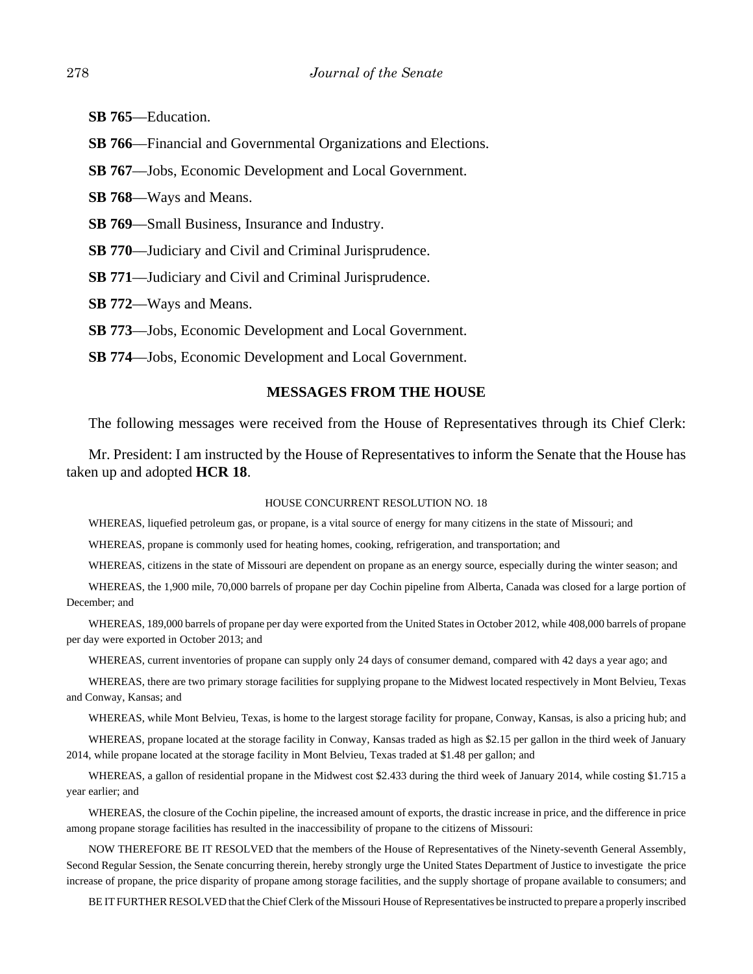- **SB 765**––Education.
- **SB 766**––Financial and Governmental Organizations and Elections.
- **SB 767**—Jobs, Economic Development and Local Government.
- **SB 768**––Ways and Means.
- **SB 769**––Small Business, Insurance and Industry.
- **SB 770**—Judiciary and Civil and Criminal Jurisprudence.
- **SB 771**––Judiciary and Civil and Criminal Jurisprudence.
- **SB 772**––Ways and Means.
- **SB 773**––Jobs, Economic Development and Local Government.
- **SB 774**––Jobs, Economic Development and Local Government.

#### **MESSAGES FROM THE HOUSE**

The following messages were received from the House of Representatives through its Chief Clerk:

Mr. President: I am instructed by the House of Representatives to inform the Senate that the House has taken up and adopted **HCR 18**.

#### HOUSE CONCURRENT RESOLUTION NO. 18

WHEREAS, liquefied petroleum gas, or propane, is a vital source of energy for many citizens in the state of Missouri; and

WHEREAS, propane is commonly used for heating homes, cooking, refrigeration, and transportation; and

WHEREAS, citizens in the state of Missouri are dependent on propane as an energy source, especially during the winter season; and

WHEREAS, the 1,900 mile, 70,000 barrels of propane per day Cochin pipeline from Alberta, Canada was closed for a large portion of December; and

WHEREAS, 189,000 barrels of propane per day were exported from the United States in October 2012, while 408,000 barrels of propane per day were exported in October 2013; and

WHEREAS, current inventories of propane can supply only 24 days of consumer demand, compared with 42 days a year ago; and

WHEREAS, there are two primary storage facilities for supplying propane to the Midwest located respectively in Mont Belvieu, Texas and Conway, Kansas; and

WHEREAS, while Mont Belvieu, Texas, is home to the largest storage facility for propane, Conway, Kansas, is also a pricing hub; and

WHEREAS, propane located at the storage facility in Conway, Kansas traded as high as \$2.15 per gallon in the third week of January 2014, while propane located at the storage facility in Mont Belvieu, Texas traded at \$1.48 per gallon; and

WHEREAS, a gallon of residential propane in the Midwest cost \$2.433 during the third week of January 2014, while costing \$1.715 a year earlier; and

WHEREAS, the closure of the Cochin pipeline, the increased amount of exports, the drastic increase in price, and the difference in price among propane storage facilities has resulted in the inaccessibility of propane to the citizens of Missouri:

NOW THEREFORE BE IT RESOLVED that the members of the House of Representatives of the Ninety-seventh General Assembly, Second Regular Session, the Senate concurring therein, hereby strongly urge the United States Department of Justice to investigate the price increase of propane, the price disparity of propane among storage facilities, and the supply shortage of propane available to consumers; and

BE IT FURTHER RESOLVED that the Chief Clerk of the Missouri House of Representatives be instructed to prepare a properly inscribed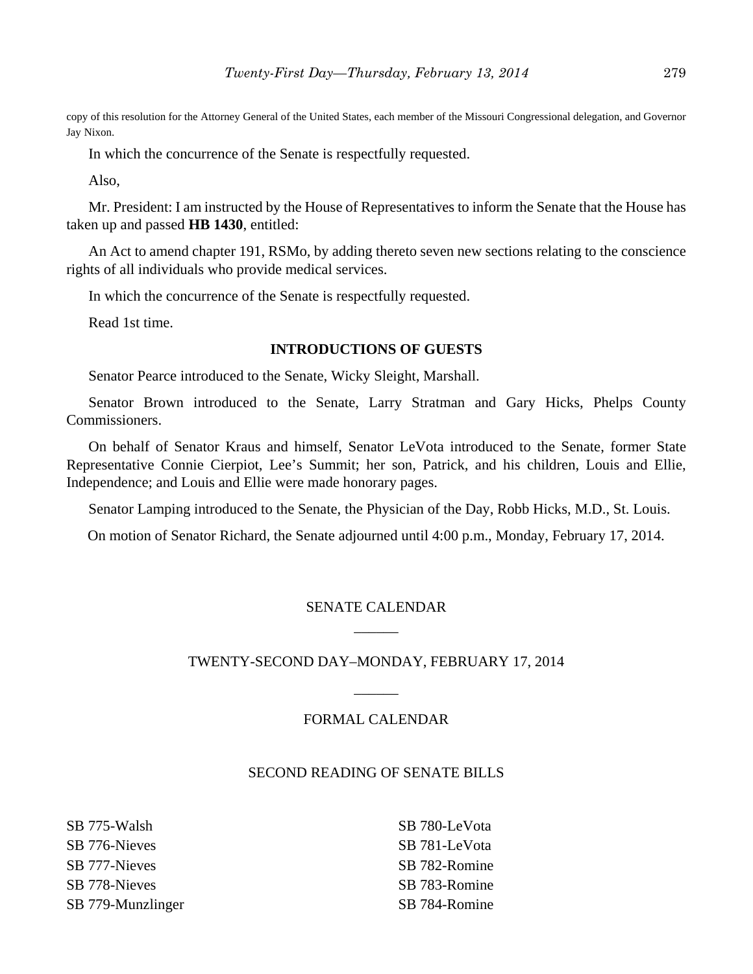copy of this resolution for the Attorney General of the United States, each member of the Missouri Congressional delegation, and Governor Jay Nixon.

In which the concurrence of the Senate is respectfully requested.

Also,

Mr. President: I am instructed by the House of Representatives to inform the Senate that the House has taken up and passed **HB 1430**, entitled:

An Act to amend chapter 191, RSMo, by adding thereto seven new sections relating to the conscience rights of all individuals who provide medical services.

In which the concurrence of the Senate is respectfully requested.

Read 1st time.

#### **INTRODUCTIONS OF GUESTS**

Senator Pearce introduced to the Senate, Wicky Sleight, Marshall.

Senator Brown introduced to the Senate, Larry Stratman and Gary Hicks, Phelps County Commissioners.

On behalf of Senator Kraus and himself, Senator LeVota introduced to the Senate, former State Representative Connie Cierpiot, Lee's Summit; her son, Patrick, and his children, Louis and Ellie, Independence; and Louis and Ellie were made honorary pages.

Senator Lamping introduced to the Senate, the Physician of the Day, Robb Hicks, M.D., St. Louis.

On motion of Senator Richard, the Senate adjourned until 4:00 p.m., Monday, February 17, 2014.

# SENATE CALENDAR \_\_\_\_\_\_

#### TWENTY-SECOND DAY–MONDAY, FEBRUARY 17, 2014

 $\overline{\phantom{a}}$ 

### FORMAL CALENDAR

#### SECOND READING OF SENATE BILLS

SB 775-Walsh SB 776-Nieves SB 777-Nieves SB 778-Nieves SB 779-Munzlinger SB 780-LeVota SB 781-LeVota SB 782-Romine SB 783-Romine SB 784-Romine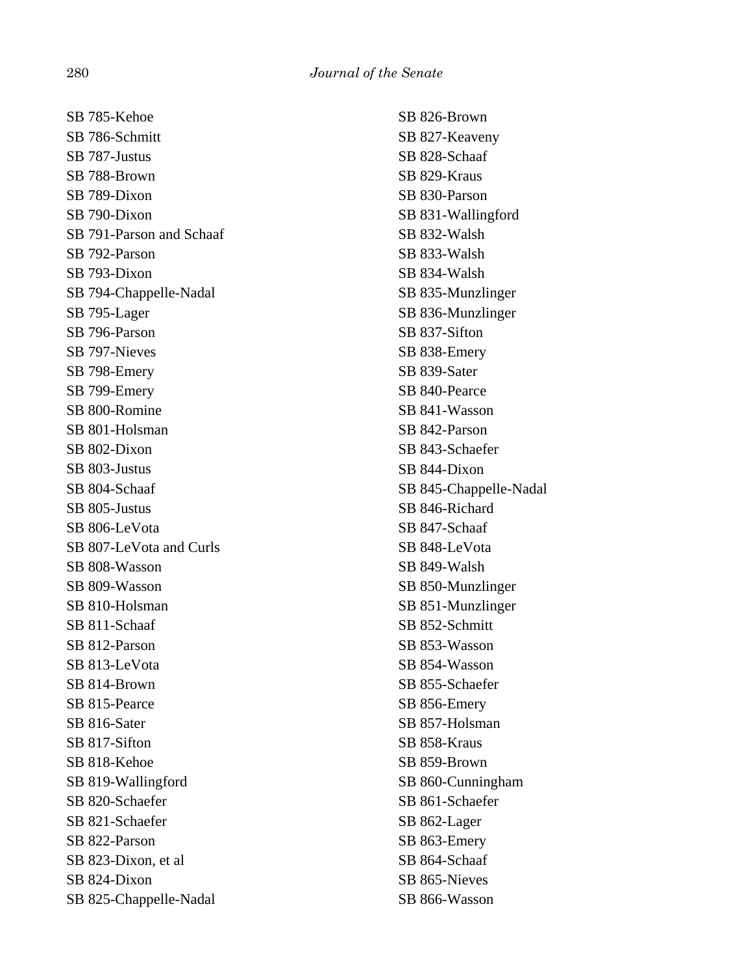SB 785-Kehoe SB 786-Schmitt SB 787-Justus SB 788-Brown SB 789-Dixon SB 790-Dixon SB 791-Parson and Schaaf SB 792-Parson SB 793-Dixon SB 794-Chappelle-Nadal SB 795-Lager SB 796-Parson SB 797-Nieves SB 798-Emery SB 799-Emery SB 800-Romine SB 801-Holsman SB 802-Dixon SB 803-Justus SB 804-Schaaf SB 805-Justus SB 806-LeVota SB 807-LeVota and Curls SB 808-Wasson SB 809-Wasson SB 810-Holsman SB 811-Schaaf SB 812-Parson SB 813-LeVota SB 814-Brown SB 815-Pearce SB 816-Sater SB 817-Sifton SB 818-Kehoe SB 819-Wallingford SB 820-Schaefer SB 821-Schaefer SB 822-Parson SB 823-Dixon, et al SB 824-Dixon SB 825-Chappelle-Nadal

SB 826-Brown SB 827-Keaveny SB 828-Schaaf SB 829-Kraus SB 830-Parson SB 831-Wallingford SB 832-Walsh SB 833-Walsh SB 834-Walsh SB 835-Munzlinger SB 836-Munzlinger SB 837-Sifton SB 838-Emery SB 839-Sater SB 840-Pearce SB 841-Wasson SB 842-Parson SB 843-Schaefer SB 844-Dixon SB 845-Chappelle-Nadal SB 846-Richard SB 847-Schaaf SB 848-LeVota SB 849-Walsh SB 850-Munzlinger SB 851-Munzlinger SB 852-Schmitt SB 853-Wasson SB 854-Wasson SB 855-Schaefer SB 856-Emery SB 857-Holsman SB 858-Kraus SB 859-Brown SB 860-Cunningham SB 861-Schaefer SB 862-Lager SB 863-Emery SB 864-Schaaf SB 865-Nieves SB 866-Wasson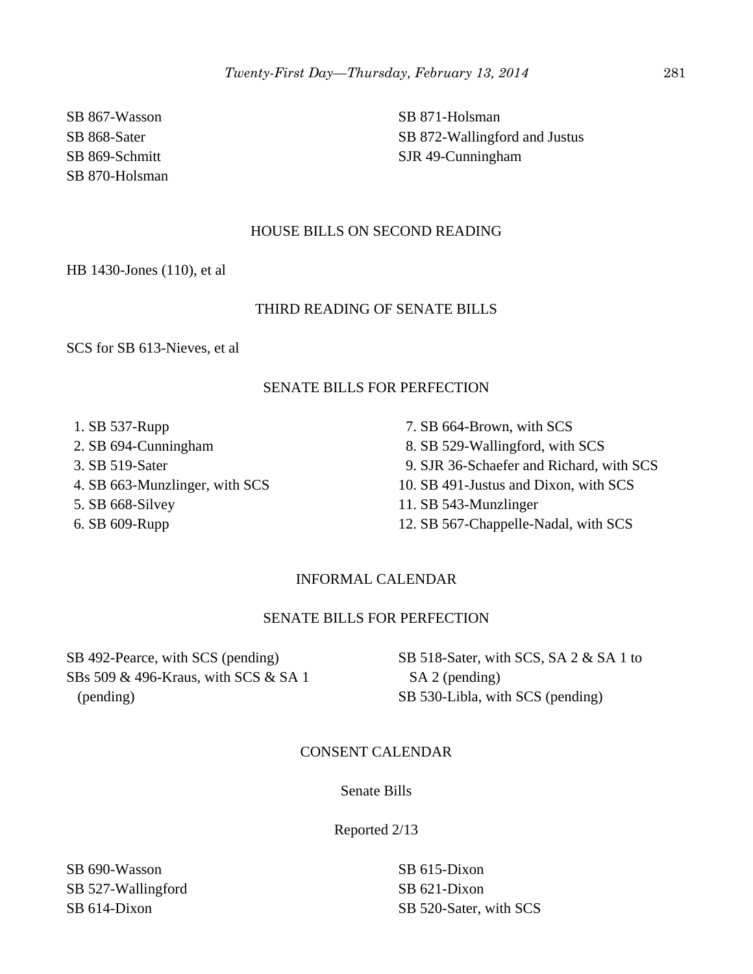SB 867-Wasson SB 868-Sater SB 869-Schmitt SB 870-Holsman SB 871-Holsman SB 872-Wallingford and Justus SJR 49-Cunningham

#### HOUSE BILLS ON SECOND READING

HB 1430-Jones (110), et al

#### THIRD READING OF SENATE BILLS

SCS for SB 613-Nieves, et al

#### SENATE BILLS FOR PERFECTION

- 1. SB 537-Rupp
- 2. SB 694-Cunningham
- 3. SB 519-Sater
- 4. SB 663-Munzlinger, with SCS
- 5. SB 668-Silvey
- 6. SB 609-Rupp

 7. SB 664-Brown, with SCS 8. SB 529-Wallingford, with SCS 9. SJR 36-Schaefer and Richard, with SCS 10. SB 491-Justus and Dixon, with SCS 11. SB 543-Munzlinger 12. SB 567-Chappelle-Nadal, with SCS

#### INFORMAL CALENDAR

## SENATE BILLS FOR PERFECTION

SB 492-Pearce, with SCS (pending) SBs 509 & 496-Kraus, with SCS & SA 1 (pending)

SB 518-Sater, with SCS, SA 2 & SA 1 to SA 2 (pending) SB 530-Libla, with SCS (pending)

#### CONSENT CALENDAR

Senate Bills

Reported 2/13

SB 690-Wasson SB 527-Wallingford SB 614-Dixon

SB 615-Dixon SB 621-Dixon SB 520-Sater, with SCS